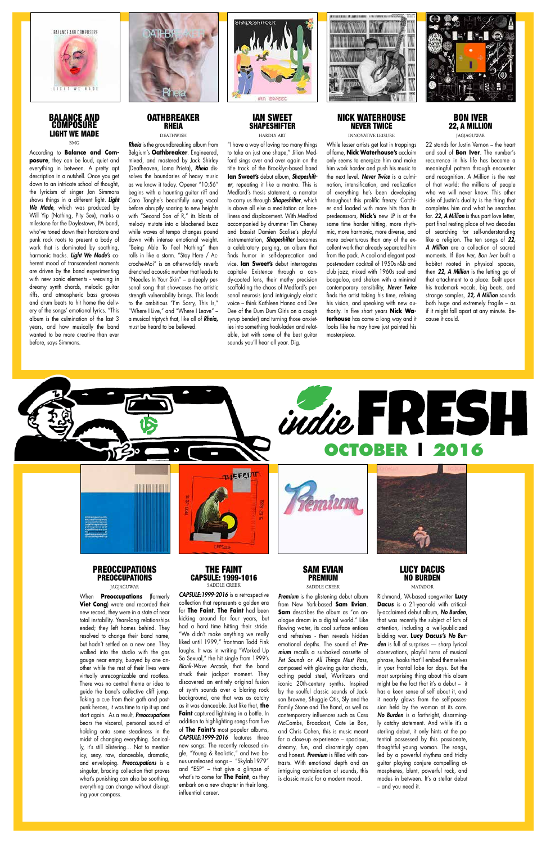

## BALANCE AND **COMPÓSURE** LIGHT WE MADE BMG

According to **Balance and Composure**, they can be loud, quiet and everything in between. A pretty apt description in a nutshell. Once you get down to an intricate school of thought, the lyricism of singer Jon Simmons shows things in a different light. *Light We Made*, which was produced by Will Yip (Nothing, Pity Sex), marks a milestone for the Doylestown, PA band, who've toned down their hardcore and punk rock roots to present a body of work that is dominated by soothing, harmonic tracks. *Light We Made's* coherent mood of transcendent moments are driven by the band experimenting with new sonic elements - weaving in dreamy synth chords, melodic guitar riffs, and atmospheric bass grooves and drum beats to hit home the delivery of the songs' emotional lyrics. "This album is the culmination of the last 3 years, and how musically the band wanted to be more creative than ever before, says Simmons.



# **OATHBREAKER** RHEIA **DEATHWISH**

## IAN SWEET SHAPESHIFTER HARDIY ART

*Rheia* is the groundbreaking album from Belgium's **Oathbreaker**. Engineered, mixed, and mastered by Jack Shirley (Deafheaven, Loma Prieta), *Rheia* dissolves the boundaries of heavy music as we know it today. Opener "10:56" begins with a haunting guitar riff and Caro Tanghe's beautifully sung vocal before abruptly soaring to new heights with "Second Son of R," its blasts of melody mutate into a blackened buzz while waves of tempo changes pound down with intense emotional weight. "Being Able To Feel Nothing" then rolls in like a storm. "Stay Here / Accroche-Moi" is an otherworldly reverb drenched acoustic number that leads to "Needles In Your Skin" – a deeply personal song that showcases the artistic strength vulnerability brings. This leads to the ambitious "I'm Sorry, This Is," "Where I Live," and "Where I Leave" – a musical triptych that, like all of *Rheia***,** must be heard to be believed.



"I have a way of loving too many things to take on just one shape," Jilian Medford sings over and over again on the title track of the Brooklyn-based band **Ian Sweet's** debut album, *Shapeshifter*, repeating it like a mantra. This is Medford's thesis statement, a narrator to carry us through *Shapeshifter*, which is above all else a meditation on loneliness and displacement. With Medford accompanied by drummer Tim Cheney and bassist Damien Scalise's playful instrumentation, *Shapeshifter* becomes a celebratory purging, an album that finds humor in self-deprecation and vice. **Ian Sweet's** debut interrogates capital-e Existence through a candy-coated lens, their mathy precision scaffolding the chaos of Medford's personal neurosis (and intriguingly elastic voice – think Kathleen Hanna and Dee Dee of the Dum Dum Girls on a cough syrup bender) and turning those anxieties into something hook-laden and relatable, but with some of the best guitar sounds you'll hear all year. Dig.



# NICK WATERHOUSE NEVER TWICE INNOVATIVE LEISURE

While lesser artists get lost in trappings of fame, **Nick Waterhouse's** acclaim only seems to energize him and make him work harder and push his music to the next level. *Never Twice* is a culmination, intensification, and realization of everything he's been developing throughout this prolific frenzy. Catchier and loaded with more hits than its predecessors, **Nick's** new LP is at the same time harder hitting, more rhythmic, more harmonic, more diverse, and more adventurous than any of the excellent work that already separated him from the pack. A cool and elegant postpost-modern cocktail of 1950s r&b and club jazz, mixed with 1960s soul and boogaloo, and shaken with a minimal contemporary sensibility, *Never Twice* finds the artist taking his time, refining his vision, and speaking with new authority. In five short years **Nick Waterhouse** has come a long way and it looks like he may have just painted his masterpiece.



# BON IVER 22, A MILLION JAGJAGUWAR

22 stands for Justin Vernon – the heart and soul of **Bon Iver**. The number's recurrence in his life has become a meaningful pattern through encounter and recognition. A Million is the rest of that world: the millions of people who we will never know. This other side of Justin's duality is the thing that completes him and what he searches for. *22, A Million* is thus part love letter, part final resting place of two decades of searching for self-understanding like a religion. The ten songs of *22, A Million* are a collection of sacred moments. If *Bon Iver, Bon Iver* built a habitat rooted in physical spaces, then *22, A Million* is the letting go of that attachment to a place. Built upon his trademark vocals, big beats, and strange samples, *22, A Million* sounds both huge and extremely fragile – as if it might fall apart at any minute. Because it could.

total instability. Years-long relationships ended; they left homes behind. They resolved to change their band name, but hadn't settled on a new one. They walked into the studio with the gas gauge near empty, buoyed by one another while the rest of their lives were virtually unrecognizable and rootless. There was no central theme or idea to guide the band's collective cliff jump. Taking a cue from their goth and postpunk heroes, it was time to rip it up and start again. As a result, *Preoccupations* bears the visceral, personal sound of holding onto some steadiness in the midst of changing everything. Sonically, it's still blistering… Not to mention icy, sexy, raw, danceable, dramatic, and enveloping. *Preoccupations* is a singular, bracing collection that proves what's punishing can also be soothing, everything can change without disrupting your compass.



kicking around for four years, but had a hard time hitting their stride. "We didn't make anything we really liked until 1999," frontman Todd Fink laughs. It was in writing "Worked Up So Sexual," the hit single from 1999's *Blank-Wave Arcade*, that the band struck their jackpot moment. They discovered an entirely original fusion of synth sounds over a blaring rock background, one that was as catchy as it was danceable. Just like that, **the Faint** captured lightning in a bottle. In addition to highlighting songs from five of **The Faint's** most popular albums, *CAPSULE:1999-2016* features three new songs: The recently released single, "Young & Realistic," and two bonus unreleased songs – "Skylab1979" and "ESP" – that give a glimpse of what's to come for **The Faint**, as they embark on a new chapter in their long, influential career.

alogue dream in a digital world." Like flowing water, its cool surface entices and refreshes - then reveals hidden emotional depths. The sound of *Premium* recalls a sunbaked cassette of *Pet Sounds* or *All Things Must Pass*, composed with glowing guitar chords, aching pedal steel, Wurlitzers and iconic 20th-century synths. Inspired by the soulful classic sounds of Jackson Browne, Shuggie Otis, Sly and the Family Stone and The Band, as well as contemporary influences such as Cass McCombs, Broadcast, Cate Le Bon, and Chris Cohen, this is music meant for a close-up experience – spacious, dreamy, fun, and disarmingly open and honest. *Premium* is filled with contrasts. With emotional depth and an intriguing combination of sounds, this is classic music for a modern mood.

that was recently the subject of lots of attention, including a well-publicized bidding war. **Lucy Dacus's** *No Burden* is full of surprises — sharp lyrical observations, playful turns of musical phrase, hooks that'll embed themselves in your frontal lobe for days. But the most surprising thing about this album might be the fact that it's a debut – it has a keen sense of self about it, and it nearly glows from the self-possession held by the woman at its core. *No Burden* is a forthright, disarmingly catchy statement. And while it's a sterling debut, it only hints at the potential possessed by this passionate, thoughtful young woman. The songs, led by a powerful rhythms and tricky guitar playing conjure compelling atmospheres, blunt, powerful rock, and modes in between. It's a stellar debut – and you need it.